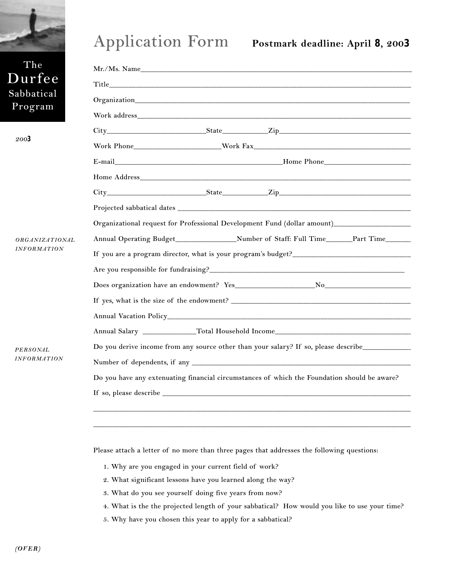

## **Application Form Postmark deadline: April 8, 200<sup>3</sup>**

| The                                                 |                                                                                                                                                                                                                               |
|-----------------------------------------------------|-------------------------------------------------------------------------------------------------------------------------------------------------------------------------------------------------------------------------------|
| Durfee                                              |                                                                                                                                                                                                                               |
| Sabbatical                                          |                                                                                                                                                                                                                               |
| Program                                             | Work address and the contract of the contract of the contract of the contract of the contract of the contract of the contract of the contract of the contract of the contract of the contract of the contract of the contract |
| 2003<br><b>ORGANIZATIONAL</b><br><b>INFORMATION</b> |                                                                                                                                                                                                                               |
|                                                     |                                                                                                                                                                                                                               |
|                                                     |                                                                                                                                                                                                                               |
|                                                     |                                                                                                                                                                                                                               |
|                                                     |                                                                                                                                                                                                                               |
|                                                     |                                                                                                                                                                                                                               |
|                                                     | Organizational request for Professional Development Fund (dollar amount)___________________________                                                                                                                           |
|                                                     | Annual Operating Budget__________________Number of Staff: Full Time_______Part Time______                                                                                                                                     |
|                                                     | If you are a program director, what is your program's budget?                                                                                                                                                                 |
|                                                     |                                                                                                                                                                                                                               |
|                                                     |                                                                                                                                                                                                                               |
|                                                     |                                                                                                                                                                                                                               |
|                                                     |                                                                                                                                                                                                                               |
|                                                     |                                                                                                                                                                                                                               |
| PERSONAL<br><b>INFORMATION</b>                      | Do you derive income from any source other than your salary? If so, please describe________________                                                                                                                           |
|                                                     |                                                                                                                                                                                                                               |
|                                                     | Do you have any extenuating financial circumstances of which the Foundation should be aware?                                                                                                                                  |
|                                                     |                                                                                                                                                                                                                               |
|                                                     |                                                                                                                                                                                                                               |
|                                                     |                                                                                                                                                                                                                               |
|                                                     |                                                                                                                                                                                                                               |

**Please attach a letter of no more than three pages that addresses the following questions:**

- **1. Why are you engaged in your current field of work?**
- **2. What significant lessons have you learned along the way?**
- **3. What do you see yourself doing five years from now?**
- **4. What is the the projected length of your sabbatical? How would you like to use your time?**
- **5. Why have you chosen this year to apply for a sabbatical?**